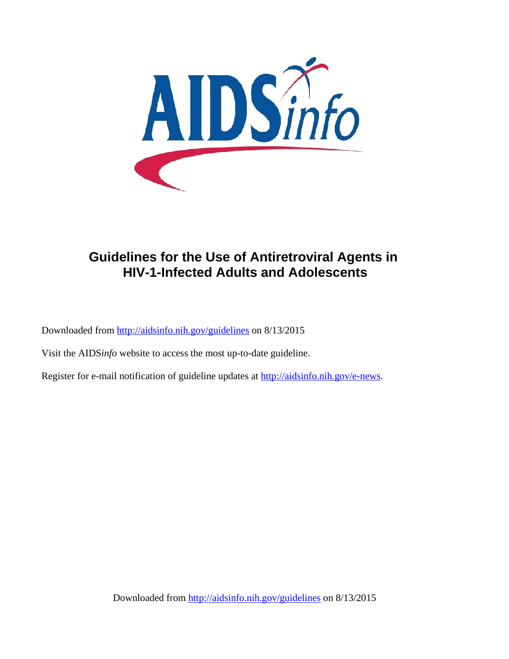

# **Guidelines for the Use of Antiretroviral Agents in HIV-1-Infected Adults and Adolescents**

Downloaded from http://aidsinfo.nih.gov/guidelines on 8/13/2015

Visit the AIDS*info* website to access the most up-to-date guideline.

Register for e-mail notification of guideline updates at http://aidsinfo.nih.gov/e-news.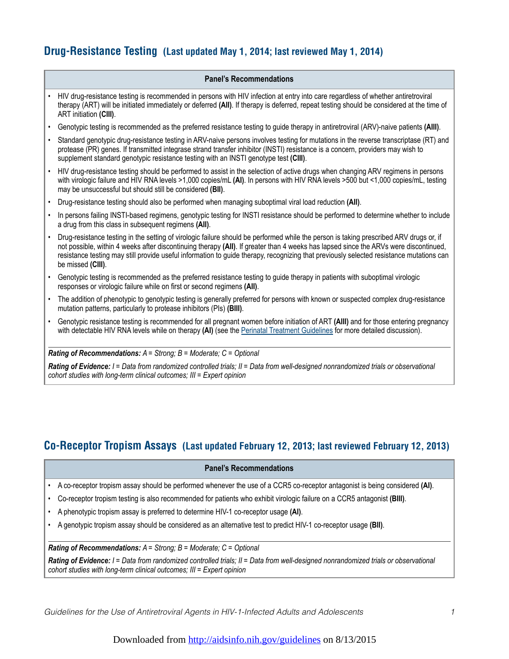## **Drug-Resistance Testing (Last updated May 1, 2014; last reviewed May 1, 2014)**

#### **Panel's Recommendations**

- HIV drug-resistance testing is recommended in persons with HIV infection at entry into care regardless of whether antiretroviral therapy (ART) will be initiated immediately or deferred **(AII)**. If therapy is deferred, repeat testing should be considered at the time of ART initiation **(CIII)**.
- Genotypic testing is recommended as the preferred resistance testing to guide therapy in antiretroviral (ARV)-naive patients **(AIII)**.
- Standard genotypic drug-resistance testing in ARV-naive persons involves testing for mutations in the reverse transcriptase (RT) and protease (PR) genes. If transmitted integrase strand transfer inhibitor (INSTI) resistance is a concern, providers may wish to supplement standard genotypic resistance testing with an INSTI genotype test **(CIII)**.
- HIV drug-resistance testing should be performed to assist in the selection of active drugs when changing ARV regimens in persons with virologic failure and HIV RNA levels >1,000 copies/mL **(AI)**. In persons with HIV RNA levels >500 but <1,000 copies/mL, testing may be unsuccessful but should still be considered **(BII)**.
- Drug-resistance testing should also be performed when managing suboptimal viral load reduction **(AII)**.
- In persons failing INSTI-based regimens, genotypic testing for INSTI resistance should be performed to determine whether to include a drug from this class in subsequent regimens **(AII)**.
- Drug-resistance testing in the setting of virologic failure should be performed while the person is taking prescribed ARV drugs or, if not possible, within 4 weeks after discontinuing therapy **(AII)**. If greater than 4 weeks has lapsed since the ARVs were discontinued, resistance testing may still provide useful information to guide therapy, recognizing that previously selected resistance mutations can be missed **(CIII)**.
- Genotypic testing is recommended as the preferred resistance testing to guide therapy in patients with suboptimal virologic responses or virologic failure while on first or second regimens **(AII)**.
- The addition of phenotypic to genotypic testing is generally preferred for persons with known or suspected complex drug-resistance mutation patterns, particularly to protease inhibitors (PIs) **(BIII)**.
- Genotypic resistance testing is recommended for all pregnant women before initiation of ART **(AIII)** and for those entering pregnancy with detectable HIV RNA levels while on therapy (AI) (see the Perinatal Treatment Guidelines for more detailed discussion).

*Rating of Recommendations: A = Strong; B = Moderate; C = Optional*

*Rating of Evidence: I = Data from randomized controlled trials; II = Data from well-designed nonrandomized trials or observational cohort studies with long-term clinical outcomes; III = Expert opinion*

## **Co-Receptor Tropism Assays (Last updated February 12, 2013; last reviewed February 12, 2013)**

#### **Panel's Recommendations**

- A co-receptor tropism assay should be performed whenever the use of a CCR5 co-receptor antagonist is being considered **(AI)**.
- Co-receptor tropism testing is also recommended for patients who exhibit virologic failure on a CCR5 antagonist **(BIII)**.
- A phenotypic tropism assay is preferred to determine HIV-1 co-receptor usage **(AI)**.
- A genotypic tropism assay should be considered as an alternative test to predict HIV-1 co-receptor usage **(BII)**.

#### *Rating of Recommendations: A = Strong; B = Moderate; C = Optional*

*Rating of Evidence: I = Data from randomized controlled trials; II = Data from well-designed nonrandomized trials or observational cohort studies with long-term clinical outcomes; III = Expert opinion*

*Guidelines for the Use of Antiretroviral Agents in HIV-1-Infected Adults and Adolescents 1*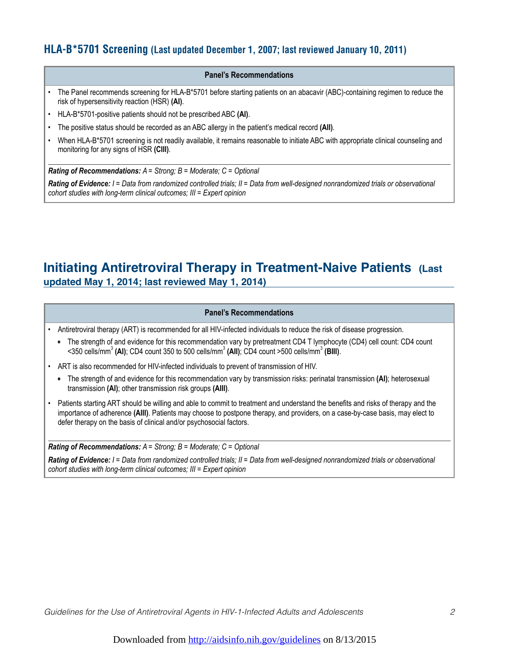## **HLA-B\*5701 Screening (Last updated December 1, 2007; last reviewed January 10, 2011)**

#### **Panel's Recommendations**

- The Panel recommends screening for HLA-B\*5701 before starting patients on an abacavir (ABC)-containing regimen to reduce the risk of hypersensitivity reaction (HSR) **(AI)**.
- HLA-B\*5701-positive patients should not be prescribed ABC **(AI)**.
- The positive status should be recorded as an ABC allergy in the patient's medical record **(AII)**.
- When HLA-B\*5701 screening is not readily available, it remains reasonable to initiate ABC with appropriate clinical counseling and monitoring for any signs of HSR **(CIII)**.

*Rating of Recommendations: A = Strong; B = Moderate; C = Optional*

*Rating of Evidence: I = Data from randomized controlled trials; II = Data from well-designed nonrandomized trials or observational cohort studies with long-term clinical outcomes; III = Expert opinion*

## **Initiating Antiretroviral Therapy in Treatment-Naive Patients (Last updated May 1, 2014; last reviewed May 1, 2014)**

#### **Panel's Recommendations**

• Antiretroviral therapy (ART) is recommended for all HIV-infected individuals to reduce the risk of disease progression.

- The strength of and evidence for this recommendation vary by pretreatment CD4 T lymphocyte (CD4) cell count: CD4 count <350 cells/mm<sup>3</sup> (AI); CD4 count 350 to 500 cells/mm<sup>3</sup> (AII); CD4 count >500 cells/mm<sup>3</sup> (BIII).
- ART is also recommended for HIV-infected individuals to prevent of transmission of HIV.
	- The strength of and evidence for this recommendation vary by transmission risks: perinatal transmission **(AI)**; heterosexual transmission **(AI)**; other transmission risk groups **(AIII)**.
- Patients starting ART should be willing and able to commit to treatment and understand the benefits and risks of therapy and the importance of adherence **(AIII)**. Patients may choose to postpone therapy, and providers, on a case-by-case basis, may elect to defer therapy on the basis of clinical and/or psychosocial factors.

*Rating of Recommendations: A = Strong; B = Moderate; C = Optional*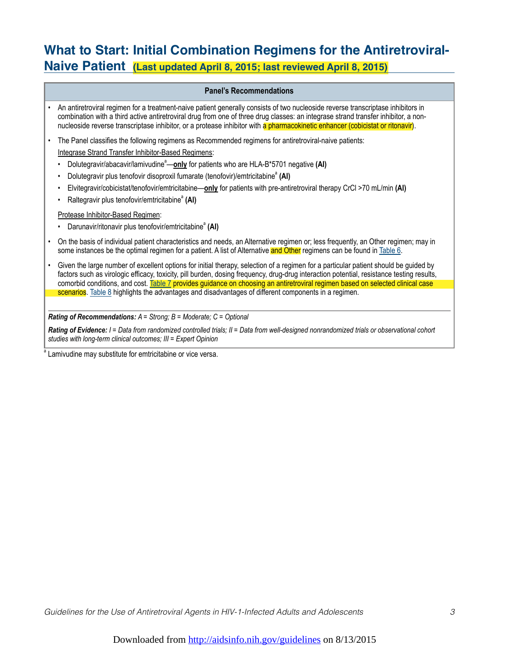# **What to Start: Initial Combination Regimens for the Antiretroviral-Naive Patient (Last updated April 8, 2015; last reviewed April 8, 2015)**

### **Panel's Recommendations**

| An antiretroviral regimen for a treatment-naive patient generally consists of two nucleoside reverse transcriptase inhibitors in<br>combination with a third active antiretroviral drug from one of three drug classes: an integrase strand transfer inhibitor, a non-            |
|-----------------------------------------------------------------------------------------------------------------------------------------------------------------------------------------------------------------------------------------------------------------------------------|
| nucleoside reverse transcriptase inhibitor, or a protease inhibitor with a pharmacokinetic enhancer (cobicistat or ritonavir).                                                                                                                                                    |
| The Panel classifies the following regimens as Recommended regimens for antiretroviral-naive patients:                                                                                                                                                                            |
| Integrase Strand Transfer Inhibitor-Based Regimens:                                                                                                                                                                                                                               |
| Dolutegravir/abacavir/lamivudine <sup>a</sup> —only for patients who are HLA-B*5701 negative (AI)<br>٠                                                                                                                                                                            |
| Dolutegravir plus tenofovir disoproxil fumarate (tenofovir)/emtricitabine <sup>a</sup> (AI)<br>$\bullet$                                                                                                                                                                          |
| Elvitegravir/cobicistat/tenofovir/emtricitabine-only for patients with pre-antiretroviral therapy CrCl >70 mL/min (AI)<br>$\bullet$                                                                                                                                               |
| Raltegravir plus tenofovir/emtricitabine <sup>®</sup> (AI)<br>$\bullet$                                                                                                                                                                                                           |
| Protease Inhibitor-Based Regimen:                                                                                                                                                                                                                                                 |
| Darunavir/ritonavir plus tenofovir/emtricitabine <sup>a</sup> (AI)<br>$\bullet$                                                                                                                                                                                                   |
| On the basis of individual patient characteristics and needs, an Alternative regimen or; less frequently, an Other regimen; may in<br>some instances be the optimal regimen for a patient. A list of Alternative and Other regimens can be found in Table 6.                      |
| Given the large number of excellent options for initial therapy, selection of a regimen for a particular patient should be guided by<br>factors such as virologic efficacy, toxicity, pill burden, dosing frequency, drug-drug interaction potential, resistance testing results, |
| comorbid conditions, and cost. Table 7 provides guidance on choosing an antiretroviral regimen based on selected clinical case                                                                                                                                                    |
| scenarios. Table 8 highlights the advantages and disadvantages of different components in a regimen.                                                                                                                                                                              |
|                                                                                                                                                                                                                                                                                   |

*Rating of Recommendations: A = Strong; B = Moderate; C = Optional*

*Rating of Evidence: I = Data from randomized controlled trials; II = Data from well-designed nonrandomized trials or observational cohort studies with long-term clinical outcomes; III = Expert Opinion*

<sup>a</sup> Lamivudine may substitute for emtricitabine or vice versa.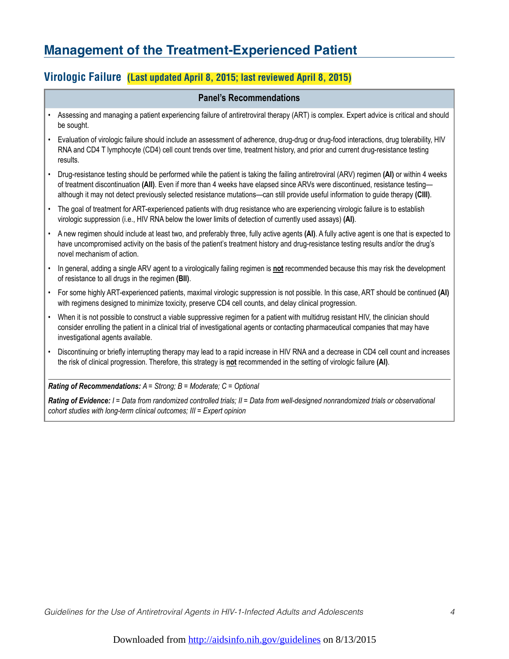# **Management of the Treatment-Experienced Patient**

## **Virologic Failure (Last updated April 8, 2015; last reviewed April 8, 2015)**

### **Panel's Recommendations**

- Assessing and managing a patient experiencing failure of antiretroviral therapy (ART) is complex. Expert advice is critical and should be sought.
- Evaluation of virologic failure should include an assessment of adherence, drug-drug or drug-food interactions, drug tolerability, HIV RNA and CD4 T lymphocyte (CD4) cell count trends over time, treatment history, and prior and current drug-resistance testing results.
- Drug-resistance testing should be performed while the patient is taking the failing antiretroviral (ARV) regimen **(AI)** or within 4 weeks of treatment discontinuation **(AII)**. Even if more than 4 weeks have elapsed since ARVs were discontinued, resistance testing although it may not detect previously selected resistance mutations—can still provide useful information to guide therapy **(CIII)**.
- The goal of treatment for ART-experienced patients with drug resistance who are experiencing virologic failure is to establish virologic suppression (i.e., HIV RNA below the lower limits of detection of currently used assays) **(AI)**.
- A new regimen should include at least two, and preferably three, fully active agents **(AI)**. A fully active agent is one that is expected to have uncompromised activity on the basis of the patient's treatment history and drug-resistance testing results and/or the drug's novel mechanism of action.
- In general, adding a single ARV agent to a virologically failing regimen is **not** recommended because this may risk the development of resistance to all drugs in the regimen **(BII)**.
- For some highly ART-experienced patients, maximal virologic suppression is not possible. In this case, ART should be continued **(AI)** with regimens designed to minimize toxicity, preserve CD4 cell counts, and delay clinical progression.
- When it is not possible to construct a viable suppressive regimen for a patient with multidrug resistant HIV, the clinician should consider enrolling the patient in a clinical trial of investigational agents or contacting pharmaceutical companies that may have investigational agents available.
- Discontinuing or briefly interrupting therapy may lead to a rapid increase in HIV RNA and a decrease in CD4 cell count and increases the risk of clinical progression. Therefore, this strategy is **not** recommended in the setting of virologic failure **(AI)**.

*Rating of Recommendations: A = Strong; B = Moderate; C = Optional*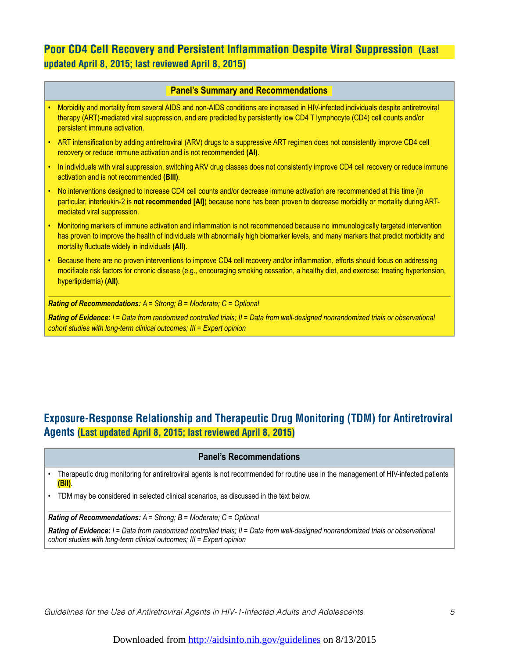## **Poor CD4 Cell Recovery and Persistent Inflammation Despite Viral Suppression (Last updated April 8, 2015; last reviewed April 8, 2015)**

### **Panel's Summary and Recommendations**

| Morbidity and mortality from several AIDS and non-AIDS conditions are increased in HIV-infected individuals despite antiretroviral |
|------------------------------------------------------------------------------------------------------------------------------------|
| therapy (ART)-mediated viral suppression, and are predicted by persistently low CD4 T lymphocyte (CD4) cell counts and/or          |
| persistent immune activation.                                                                                                      |

- ART intensification by adding antiretroviral (ARV) drugs to a suppressive ART regimen does not consistently improve CD4 cell recovery or reduce immune activation and is not recommended **(AI)**.
- In individuals with viral suppression, switching ARV drug classes does not consistently improve CD4 cell recovery or reduce immune activation and is not recommended **(BIII)**.
- No interventions designed to increase CD4 cell counts and/or decrease immune activation are recommended at this time (in particular, interleukin-2 is **not recommended [AI]**) because none has been proven to decrease morbidity or mortality during ARTmediated viral suppression.
- Monitoring markers of immune activation and inflammation is not recommended because no immunologically targeted intervention has proven to improve the health of individuals with abnormally high biomarker levels, and many markers that predict morbidity and mortality fluctuate widely in individuals **(AII)**.
- Because there are no proven interventions to improve CD4 cell recovery and/or inflammation, efforts should focus on addressing modifiable risk factors for chronic disease (e.g., encouraging smoking cessation, a healthy diet, and exercise; treating hypertension, hyperlipidemia) **(AII)**.

*Rating of Recommendations: A = Strong; B = Moderate; C = Optional*

*Rating of Evidence: I = Data from randomized controlled trials; II = Data from well-designed nonrandomized trials or observational cohort studies with long-term clinical outcomes; III = Expert opinion*

## **Exposure-Response Relationship and Therapeutic Drug Monitoring (TDM) for Antiretroviral Agents (Last updated April 8, 2015; last reviewed April 8, 2015)**

#### **Panel's Recommendations**

• Therapeutic drug monitoring for antiretroviral agents is not recommended for routine use in the management of HIV-infected patients **(BII)**.

• TDM may be considered in selected clinical scenarios, as discussed in the text below.

*Rating of Recommendations: A = Strong; B = Moderate; C = Optional*

*Rating of Evidence: I = Data from randomized controlled trials; II = Data from well-designed nonrandomized trials or observational cohort studies with long-term clinical outcomes; III = Expert opinion*

*Guidelines for the Use of Antiretroviral Agents in HIV-1-Infected Adults and Adolescents 5*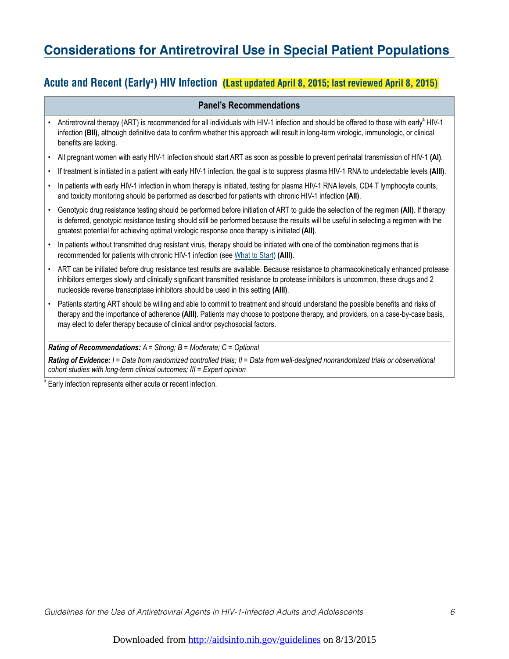# **Considerations for Antiretroviral Use in Special Patient Populations**

## **Acute and Recent (Earlya ) HIV Infection (Last updated April 8, 2015; last reviewed April 8, 2015)**

### **Panel's Recommendations**

- Antiretroviral therapy (ART) is recommended for all individuals with HIV-1 infection and should be offered to those with early<sup>a</sup> HIV-1 infection **(BII)**, although definitive data to confirm whether this approach will result in long-term virologic, immunologic, or clinical benefits are lacking.
- All pregnant women with early HIV-1 infection should start ART as soon as possible to prevent perinatal transmission of HIV-1 **(AI)**.
- If treatment is initiated in a patient with early HIV-1 infection, the goal is to suppress plasma HIV-1 RNA to undetectable levels **(AIII)**.
- In patients with early HIV-1 infection in whom therapy is initiated, testing for plasma HIV-1 RNA levels, CD4 T lymphocyte counts, and toxicity monitoring should be performed as described for patients with chronic HIV-1 infection **(AII)**.
- Genotypic drug resistance testing should be performed before initiation of ART to guide the selection of the regimen **(AII)**. If therapy is deferred, genotypic resistance testing should still be performed because the results will be useful in selecting a regimen with the greatest potential for achieving optimal virologic response once therapy is initiated **(AII)**.
- In patients without transmitted drug resistant virus, therapy should be initiated with one of the combination regimens that is recommended for patients with chronic HIV-1 infection (see What to Start) **(AIII)**.
- ART can be initiated before drug resistance test results are available. Because resistance to pharmacokinetically enhanced protease inhibitors emerges slowly and clinically significant transmitted resistance to protease inhibitors is uncommon, these drugs and 2 nucleoside reverse transcriptase inhibitors should be used in this setting **(AIII)**.
- Patients starting ART should be willing and able to commit to treatment and should understand the possible benefits and risks of therapy and the importance of adherence **(AIII)**. Patients may choose to postpone therapy, and providers, on a case-by-case basis, may elect to defer therapy because of clinical and/or psychosocial factors.

*Rating of Recommendations: A = Strong; B = Moderate; C = Optional*

*Rating of Evidence: I = Data from randomized controlled trials; II = Data from well-designed nonrandomized trials or observational cohort studies with long-term clinical outcomes; III = Expert opinion*

Early infection represents either acute or recent infection.

a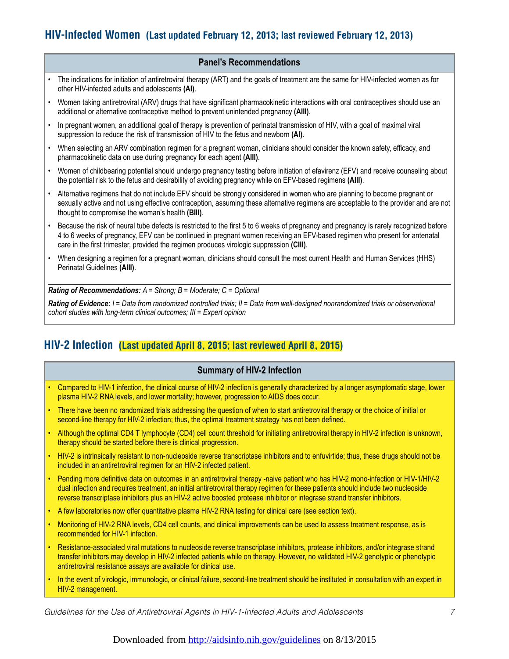## **HIV-Infected Women (Last updated February 12, 2013; last reviewed February 12, 2013)**

### **Panel's Recommendations**

- The indications for initiation of antiretroviral therapy (ART) and the goals of treatment are the same for HIV-infected women as for other HIV-infected adults and adolescents **(AI)**.
- Women taking antiretroviral (ARV) drugs that have significant pharmacokinetic interactions with oral contraceptives should use an additional or alternative contraceptive method to prevent unintended pregnancy **(AIII)**.
- In pregnant women, an additional goal of therapy is prevention of perinatal transmission of HIV, with a goal of maximal viral suppression to reduce the risk of transmission of HIV to the fetus and newborn **(AI)**.
- When selecting an ARV combination regimen for a pregnant woman, clinicians should consider the known safety, efficacy, and pharmacokinetic data on use during pregnancy for each agent **(AIII)**.
- Women of childbearing potential should undergo pregnancy testing before initiation of efavirenz (EFV) and receive counseling about the potential risk to the fetus and desirability of avoiding pregnancy while on EFV-based regimens **(AIII)**.
- Alternative regimens that do not include EFV should be strongly considered in women who are planning to become pregnant or sexually active and not using effective contraception, assuming these alternative regimens are acceptable to the provider and are not thought to compromise the woman's health **(BIII)**.
- Because the risk of neural tube defects is restricted to the first 5 to 6 weeks of pregnancy and pregnancy is rarely recognized before 4 to 6 weeks of pregnancy, EFV can be continued in pregnant women receiving an EFV-based regimen who present for antenatal care in the first trimester, provided the regimen produces virologic suppression **(CIII)**.
- When designing a regimen for a pregnant woman, clinicians should consult the most current Health and Human Services (HHS) Perinatal Guidelines **(AIII)**.

*Rating of Recommendations: A = Strong; B = Moderate; C = Optional*

*Rating of Evidence: I = Data from randomized controlled trials; II = Data from well-designed nonrandomized trials or observational cohort studies with long-term clinical outcomes; III = Expert opinion*

## **HIV-2 Infection (Last updated April 8, 2015; last reviewed April 8, 2015)**

### **Summary of HIV-2 Infection**

- Compared to HIV-1 infection, the clinical course of HIV-2 infection is generally characterized by a longer asymptomatic stage, lower plasma HIV-2 RNA levels, and lower mortality; however, progression to AIDS does occur.
- There have been no randomized trials addressing the question of when to start antiretroviral therapy or the choice of initial or second-line therapy for HIV-2 infection; thus, the optimal treatment strategy has not been defined.
- Although the optimal CD4 T lymphocyte (CD4) cell count threshold for initiating antiretroviral therapy in HIV-2 infection is unknown, therapy should be started before there is clinical progression.
- HIV-2 is intrinsically resistant to non-nucleoside reverse transcriptase inhibitors and to enfuvirtide; thus, these drugs should not be included in an antiretroviral regimen for an HIV-2 infected patient.
- Pending more definitive data on outcomes in an antiretroviral therapy -naive patient who has HIV-2 mono-infection or HIV-1/HIV-2 dual infection and requires treatment, an initial antiretroviral therapy regimen for these patients should include two nucleoside reverse transcriptase inhibitors plus an HIV-2 active boosted protease inhibitor or integrase strand transfer inhibitors.
- A few laboratories now offer quantitative plasma HIV-2 RNA testing for clinical care (see section text).
- Monitoring of HIV-2 RNA levels, CD4 cell counts, and clinical improvements can be used to assess treatment response, as is recommended for HIV-1 infection.
- Resistance-associated viral mutations to nucleoside reverse transcriptase inhibitors, protease inhibitors, and/or integrase strand transfer inhibitors may develop in HIV-2 infected patients while on therapy. However, no validated HIV-2 genotypic or phenotypic antiretroviral resistance assays are available for clinical use.
- In the event of virologic, immunologic, or clinical failure, second-line treatment should be instituted in consultation with an expert in HIV-2 management.

*Guidelines for the Use of Antiretroviral Agents in HIV-1-Infected Adults and Adolescents 7*

### Downloaded from http://aidsinfo.nih.gov/guidelines on 8/13/2015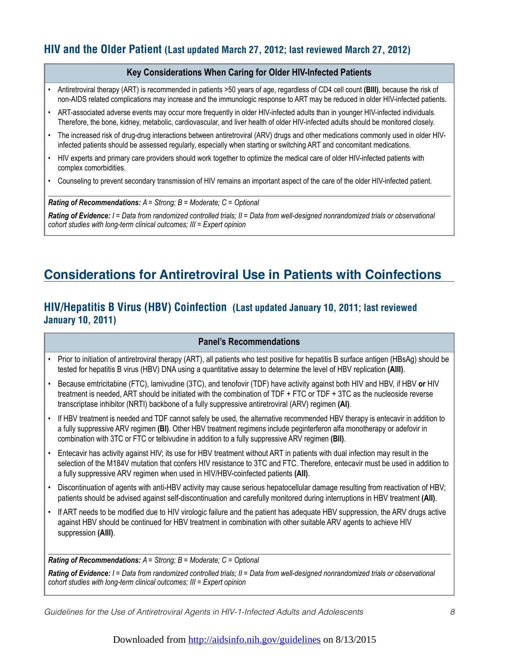## **HIV and the Older Patient (Last updated March 27, 2012; last reviewed March 27, 2012)**

### **Key Considerations When Caring for Older HIV-Infected Patients**

- Antiretroviral therapy (ART) is recommended in patients >50 years of age, regardless of CD4 cell count **(BIII)**, because the risk of non-AIDS related complications may increase and the immunologic response to ART may be reduced in older HIV-infected patients.
- ART-associated adverse events may occur more frequently in older HIV-infected adults than in younger HIV-infected individuals. Therefore, the bone, kidney, metabolic, cardiovascular, and liver health of older HIV-infected adults should be monitored closely.
- The increased risk of drug-drug interactions between antiretroviral (ARV) drugs and other medications commonly used in older HIVinfected patients should be assessed regularly, especially when starting or switching ART and concomitant medications.
- HIV experts and primary care providers should work together to optimize the medical care of older HIV-infected patients with complex comorbidities.
- Counseling to prevent secondary transmission of HIV remains an important aspect of the care of the older HIV-infected patient.

*Rating of Recommendations: A = Strong; B = Moderate; C = Optional*

*Rating of Evidence: I = Data from randomized controlled trials; II = Data from well-designed nonrandomized trials or observational cohort studies with long-term clinical outcomes; III = Expert opinion*

# **Considerations for Antiretroviral Use in Patients with Coinfections**

## **HIV/Hepatitis B Virus (HBV) Coinfection (Last updated January 10, 2011; last reviewed January 10, 2011)**

### **Panel's Recommendations**

- Prior to initiation of antiretroviral therapy (ART), all patients who test positive for hepatitis B surface antigen (HBsAg) should be tested for hepatitis B virus (HBV) DNA using a quantitative assay to determine the level of HBV replication **(AIII)**.
- Because emtricitabine (FTC), lamivudine (3TC), and tenofovir (TDF) have activity against both HIV and HBV, if HBV **or** HIV treatment is needed, ART should be initiated with the combination of TDF + FTC or TDF + 3TC as the nucleoside reverse transcriptase inhibitor (NRTI) backbone of a fully suppressive antiretroviral (ARV) regimen **(AI)**.
- If HBV treatment is needed and TDF cannot safely be used, the alternative recommended HBV therapy is entecavir in addition to a fully suppressive ARV regimen **(BI)**. Other HBV treatment regimens include peginterferon alfa monotherapy or adefovir in combination with 3TC or FTC or telbivudine in addition to a fully suppressive ARV regimen **(BII)**.
- Entecavir has activity against HIV; its use for HBV treatment without ART in patients with dual infection may result in the selection of the M184V mutation that confers HIV resistance to 3TC and FTC. Therefore, entecavir must be used in addition to a fully suppressive ARV regimen when used in HIV/HBV-coinfected patients **(AII)**.
- Discontinuation of agents with anti-HBV activity may cause serious hepatocellular damage resulting from reactivation of HBV; patients should be advised against self-discontinuation and carefully monitored during interruptions in HBV treatment **(AII)**.
- If ART needs to be modified due to HIV virologic failure and the patient has adequate HBV suppression, the ARV drugs active against HBV should be continued for HBV treatment in combination with other suitable ARV agents to achieve HIV suppression **(AIII)**.

*Rating of Recommendations: A = Strong; B = Moderate; C = Optional*

*Rating of Evidence: I = Data from randomized controlled trials; II = Data from well-designed nonrandomized trials or observational cohort studies with long-term clinical outcomes; III = Expert opinion*

*Guidelines for the Use of Antiretroviral Agents in HIV-1-Infected Adults and Adolescents 8*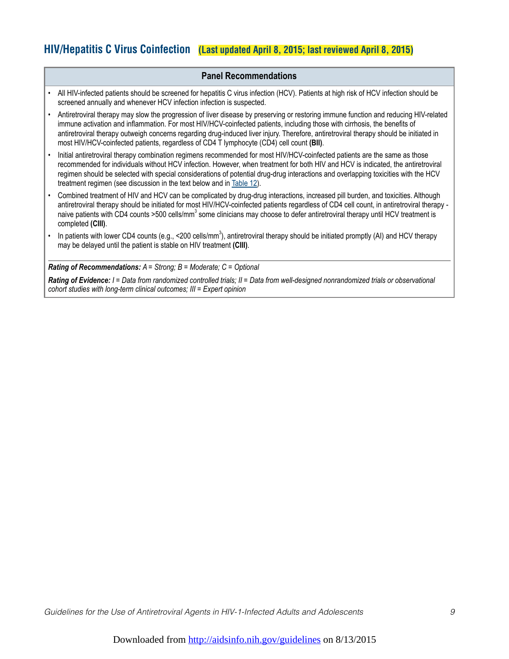## **HIV/Hepatitis C Virus Coinfection (Last updated April 8, 2015; last reviewed April 8, 2015)**

### **Panel Recommendations**

- All HIV-infected patients should be screened for hepatitis C virus infection (HCV). Patients at high risk of HCV infection should be screened annually and whenever HCV infection infection is suspected.
- Antiretroviral therapy may slow the progression of liver disease by preserving or restoring immune function and reducing HIV-related immune activation and inflammation. For most HIV/HCV-coinfected patients, including those with cirrhosis, the benefits of antiretroviral therapy outweigh concerns regarding drug-induced liver injury. Therefore, antiretroviral therapy should be initiated in most HIV/HCV-coinfected patients, regardless of CD4 T lymphocyte (CD4) cell count **(BII)**.
- Initial antiretroviral therapy combination regimens recommended for most HIV/HCV-coinfected patients are the same as those recommended for individuals without HCV infection. However, when treatment for both HIV and HCV is indicated, the antiretroviral regimen should be selected with special considerations of potential drug-drug interactions and overlapping toxicities with the HCV treatment regimen (see discussion in the text below and in Table 12).
- Combined treatment of HIV and HCV can be complicated by drug-drug interactions, increased pill burden, and toxicities. Although antiretroviral therapy should be initiated for most HIV/HCV-coinfected patients regardless of CD4 cell count, in antiretroviral therapy naive patients with CD4 counts >500 cells/mm<sup>3</sup> some clinicians may choose to defer antiretroviral therapy until HCV treatment is completed **(CIII)**.
- In patients with lower CD4 counts (e.g., <200 cells/mm<sup>3</sup>), antiretroviral therapy should be initiated promptly (AI) and HCV therapy may be delayed until the patient is stable on HIV treatment **(CIII)**.

*Rating of Recommendations: A = Strong; B = Moderate; C = Optional*